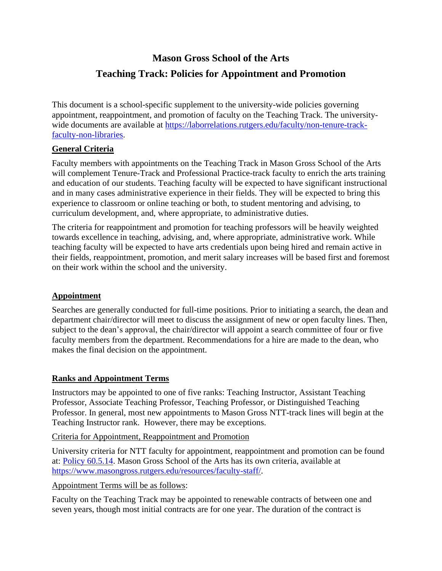## **Mason Gross School of the Arts**

# **Teaching Track: Policies for Appointment and Promotion**

This document is a school-specific supplement to the university-wide policies governing appointment, reappointment, and promotion of faculty on the Teaching Track. The universitywide documents are available at [https://laborrelations.rutgers.edu/faculty/non-tenure-track](https://laborrelations.rutgers.edu/faculty/non-tenure-track-faculty-non-libraries)[faculty-non-libraries.](https://laborrelations.rutgers.edu/faculty/non-tenure-track-faculty-non-libraries)

## **General Criteria**

Faculty members with appointments on the Teaching Track in Mason Gross School of the Arts will complement Tenure-Track and Professional Practice-track faculty to enrich the arts training and education of our students. Teaching faculty will be expected to have significant instructional and in many cases administrative experience in their fields. They will be expected to bring this experience to classroom or online teaching or both, to student mentoring and advising, to curriculum development, and, where appropriate, to administrative duties.

The criteria for reappointment and promotion for teaching professors will be heavily weighted towards excellence in teaching, advising, and, where appropriate, administrative work. While teaching faculty will be expected to have arts credentials upon being hired and remain active in their fields, reappointment, promotion, and merit salary increases will be based first and foremost on their work within the school and the university.

#### **Appointment**

Searches are generally conducted for full-time positions. Prior to initiating a search, the dean and department chair/director will meet to discuss the assignment of new or open faculty lines. Then, subject to the dean's approval, the chair/director will appoint a search committee of four or five faculty members from the department. Recommendations for a hire are made to the dean, who makes the final decision on the appointment.

## **Ranks and Appointment Terms**

Instructors may be appointed to one of five ranks: Teaching Instructor, Assistant Teaching Professor, Associate Teaching Professor, Teaching Professor, or Distinguished Teaching Professor. In general, most new appointments to Mason Gross NTT-track lines will begin at the Teaching Instructor rank. However, there may be exceptions.

#### Criteria for Appointment, Reappointment and Promotion

University criteria for NTT faculty for appointment, reappointment and promotion can be found at: [Policy 60.5.14.](http://policies.rutgers.edu/view-policies/human-resources-hr-%E2%80%93-section-60#5) Mason Gross School of the Arts has its own criteria, available at [https://www.masongross.rutgers.edu/resources/faculty-staff/.](https://www.masongross.rutgers.edu/resources/faculty-staff/)

#### Appointment Terms will be as follows:

Faculty on the Teaching Track may be appointed to renewable contracts of between one and seven years, though most initial contracts are for one year. The duration of the contract is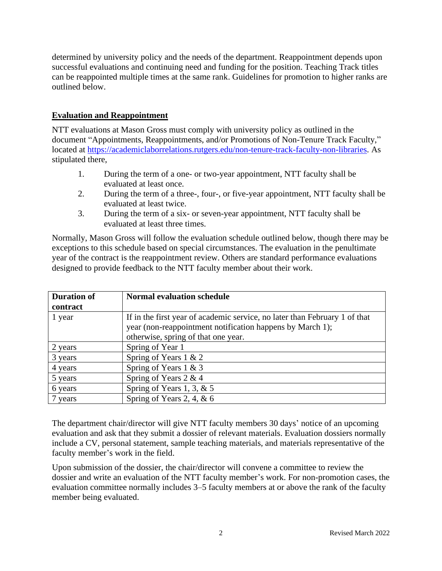determined by university policy and the needs of the department. Reappointment depends upon successful evaluations and continuing need and funding for the position. Teaching Track titles can be reappointed multiple times at the same rank. Guidelines for promotion to higher ranks are outlined below.

### **Evaluation and Reappointment**

NTT evaluations at Mason Gross must comply with university policy as outlined in the document "Appointments, Reappointments, and/or Promotions of Non-Tenure Track Faculty," located at [https://academiclaborrelations.rutgers.edu/non-tenure-track-faculty-non-libraries.](https://academiclaborrelations.rutgers.edu/non-tenure-track-faculty-non-libraries) As stipulated there,

- 1. During the term of a one- or two-year appointment, NTT faculty shall be evaluated at least once.
- 2. During the term of a three-, four-, or five-year appointment, NTT faculty shall be evaluated at least twice.
- 3. During the term of a six- or seven-year appointment, NTT faculty shall be evaluated at least three times.

Normally, Mason Gross will follow the evaluation schedule outlined below, though there may be exceptions to this schedule based on special circumstances. The evaluation in the penultimate year of the contract is the reappointment review. Others are standard performance evaluations designed to provide feedback to the NTT faculty member about their work.

| <b>Duration of</b><br>contract | <b>Normal evaluation schedule</b>                                                                                                                                              |
|--------------------------------|--------------------------------------------------------------------------------------------------------------------------------------------------------------------------------|
| 1 year                         | If in the first year of academic service, no later than February 1 of that<br>year (non-reappointment notification happens by March 1);<br>otherwise, spring of that one year. |
| 2 years                        | Spring of Year 1                                                                                                                                                               |
| 3 years                        | Spring of Years 1 & 2                                                                                                                                                          |
| 4 years                        | Spring of Years 1 & 3                                                                                                                                                          |
| 5 years                        | Spring of Years 2 & 4                                                                                                                                                          |
| 6 years                        | Spring of Years 1, 3, $& 5$                                                                                                                                                    |
| 7 years                        | Spring of Years 2, 4, $\&$ 6                                                                                                                                                   |

The department chair/director will give NTT faculty members 30 days' notice of an upcoming evaluation and ask that they submit a dossier of relevant materials. Evaluation dossiers normally include a CV, personal statement, sample teaching materials, and materials representative of the faculty member's work in the field.

Upon submission of the dossier, the chair/director will convene a committee to review the dossier and write an evaluation of the NTT faculty member's work. For non-promotion cases, the evaluation committee normally includes 3–5 faculty members at or above the rank of the faculty member being evaluated.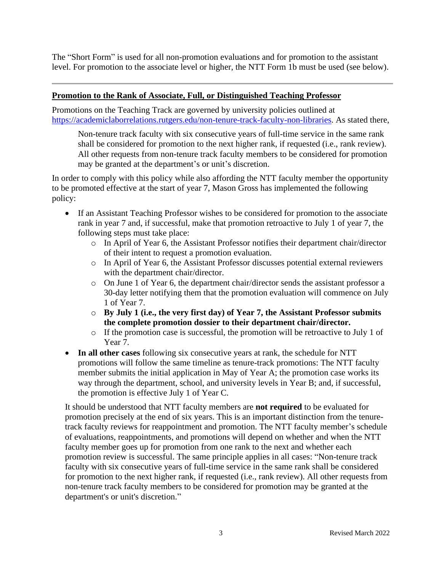The "Short Form" is used for all non-promotion evaluations and for promotion to the assistant level. For promotion to the associate level or higher, the NTT Form 1b must be used (see below).

#### **Promotion to the Rank of Associate, Full, or Distinguished Teaching Professor**

Promotions on the Teaching Track are governed by university policies outlined at [https://academiclaborrelations.rutgers.edu/non-tenure-track-faculty-non-libraries.](https://academiclaborrelations.rutgers.edu/non-tenure-track-faculty-non-libraries) As stated there,

Non-tenure track faculty with six consecutive years of full-time service in the same rank shall be considered for promotion to the next higher rank, if requested (i.e., rank review). All other requests from non-tenure track faculty members to be considered for promotion may be granted at the department's or unit's discretion.

In order to comply with this policy while also affording the NTT faculty member the opportunity to be promoted effective at the start of year 7, Mason Gross has implemented the following policy:

- If an Assistant Teaching Professor wishes to be considered for promotion to the associate rank in year 7 and, if successful, make that promotion retroactive to July 1 of year 7, the following steps must take place:
	- o In April of Year 6, the Assistant Professor notifies their department chair/director of their intent to request a promotion evaluation.
	- o In April of Year 6, the Assistant Professor discusses potential external reviewers with the department chair/director.
	- o On June 1 of Year 6, the department chair/director sends the assistant professor a 30-day letter notifying them that the promotion evaluation will commence on July 1 of Year 7.
	- o **By July 1 (i.e., the very first day) of Year 7, the Assistant Professor submits the complete promotion dossier to their department chair/director.**
	- o If the promotion case is successful, the promotion will be retroactive to July 1 of Year 7.
- **In all other cases** following six consecutive years at rank, the schedule for NTT promotions will follow the same timeline as tenure-track promotions: The NTT faculty member submits the initial application in May of Year A; the promotion case works its way through the department, school, and university levels in Year B; and, if successful, the promotion is effective July 1 of Year C.

It should be understood that NTT faculty members are **not required** to be evaluated for promotion precisely at the end of six years. This is an important distinction from the tenuretrack faculty reviews for reappointment and promotion. The NTT faculty member's schedule of evaluations, reappointments, and promotions will depend on whether and when the NTT faculty member goes up for promotion from one rank to the next and whether each promotion review is successful. The same principle applies in all cases: "Non-tenure track faculty with six consecutive years of full-time service in the same rank shall be considered for promotion to the next higher rank, if requested (i.e., rank review). All other requests from non-tenure track faculty members to be considered for promotion may be granted at the department's or unit's discretion."